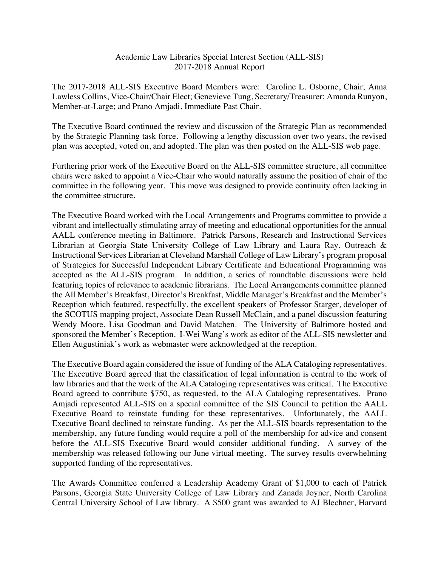## Academic Law Libraries Special Interest Section (ALL-SIS) 2017-2018 Annual Report

The 2017-2018 ALL-SIS Executive Board Members were: Caroline L. Osborne, Chair; Anna Lawless Collins, Vice-Chair/Chair Elect; Genevieve Tung, Secretary/Treasurer; Amanda Runyon, Member-at-Large; and Prano Amjadi, Immediate Past Chair.

The Executive Board continued the review and discussion of the Strategic Plan as recommended by the Strategic Planning task force. Following a lengthy discussion over two years, the revised plan was accepted, voted on, and adopted. The plan was then posted on the ALL-SIS web page.

Furthering prior work of the Executive Board on the ALL-SIS committee structure, all committee chairs were asked to appoint a Vice-Chair who would naturally assume the position of chair of the committee in the following year. This move was designed to provide continuity often lacking in the committee structure.

The Executive Board worked with the Local Arrangements and Programs committee to provide a vibrant and intellectually stimulating array of meeting and educational opportunities for the annual AALL conference meeting in Baltimore. Patrick Parsons, Research and Instructional Services Librarian at Georgia State University College of Law Library and Laura Ray, Outreach & Instructional Services Librarian at Cleveland Marshall College of Law Library's program proposal of Strategies for Successful Independent Library Certificate and Educational Programming was accepted as the ALL-SIS program. In addition, a series of roundtable discussions were held featuring topics of relevance to academic librarians. The Local Arrangements committee planned the All Member's Breakfast, Director's Breakfast, Middle Manager's Breakfast and the Member's Reception which featured, respectfully, the excellent speakers of Professor Starger, developer of the SCOTUS mapping project, Associate Dean Russell McClain, and a panel discussion featuring Wendy Moore, Lisa Goodman and David Matchen. The University of Baltimore hosted and sponsored the Member's Reception. I-Wei Wang's work as editor of the ALL-SIS newsletter and Ellen Augustiniak's work as webmaster were acknowledged at the reception.

The Executive Board again considered the issue of funding of the ALA Cataloging representatives. The Executive Board agreed that the classification of legal information is central to the work of law libraries and that the work of the ALA Cataloging representatives was critical. The Executive Board agreed to contribute \$750, as requested, to the ALA Cataloging representatives. Prano Amjadi represented ALL-SIS on a special committee of the SIS Council to petition the AALL Executive Board to reinstate funding for these representatives. Unfortunately, the AALL Executive Board declined to reinstate funding. As per the ALL-SIS boards representation to the membership, any future funding would require a poll of the membership for advice and consent before the ALL-SIS Executive Board would consider additional funding. A survey of the membership was released following our June virtual meeting. The survey results overwhelming supported funding of the representatives.

The Awards Committee conferred a Leadership Academy Grant of \$1,000 to each of Patrick Parsons, Georgia State University College of Law Library and Zanada Joyner, North Carolina Central University School of Law library. A \$500 grant was awarded to AJ Blechner, Harvard